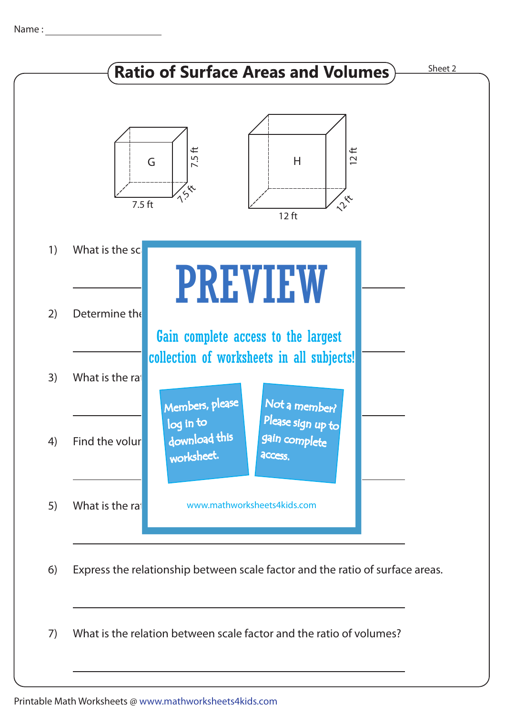